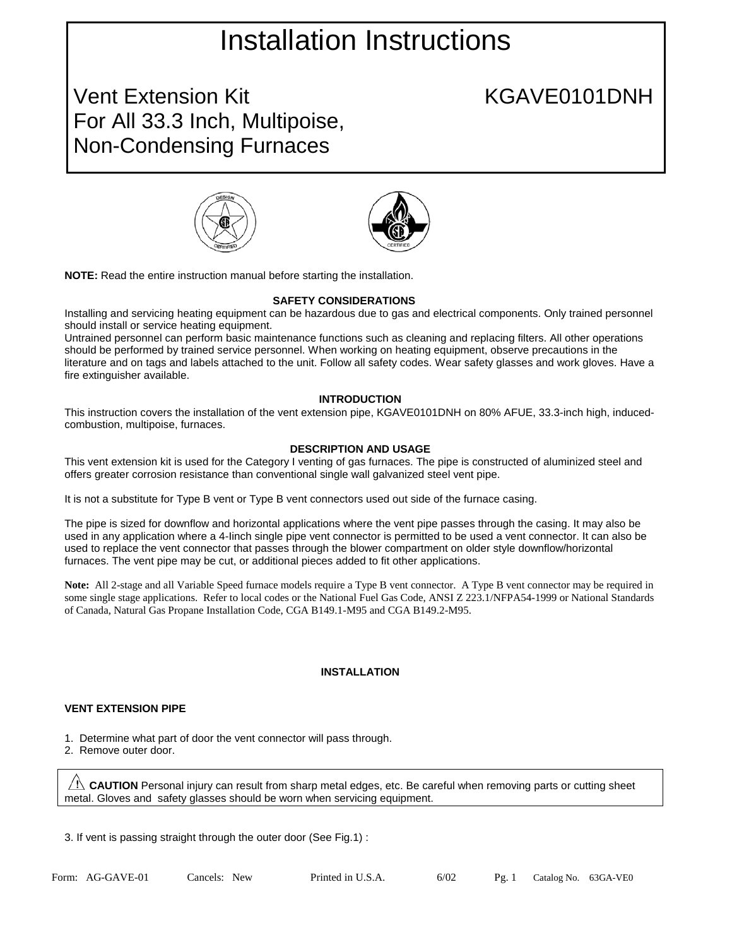# Installation Instructions

Vent Extension Kit
Went Extension Kit
Went Extension Kit
Went Extension Kit
Went Extension Kit
Went Extension Kit
Went Extension Kit
Went Extension Kit
Went Extension Kit
Went Extension Kit
Went Extension Kit
Went Extensio For All 33.3 Inch, Multipoise, Non-Condensing Furnaces





**NOTE:** Read the entire instruction manual before starting the installation.

### **SAFETY CONSIDERATIONS**

Installing and servicing heating equipment can be hazardous due to gas and electrical components. Only trained personnel should install or service heating equipment.

Untrained personnel can perform basic maintenance functions such as cleaning and replacing filters. All other operations should be performed by trained service personnel. When working on heating equipment, observe precautions in the literature and on tags and labels attached to the unit. Follow all safety codes. Wear safety glasses and work gloves. Have a fire extinguisher available.

### **INTRODUCTION**

This instruction covers the installation of the vent extension pipe, KGAVE0101DNH on 80% AFUE, 33.3-inch high, inducedcombustion, multipoise, furnaces.

#### **DESCRIPTION AND USAGE**

This vent extension kit is used for the Category I venting of gas furnaces. The pipe is constructed of aluminized steel and offers greater corrosion resistance than conventional single wall galvanized steel vent pipe.

It is not a substitute for Type B vent or Type B vent connectors used out side of the furnace casing.

The pipe is sized for downflow and horizontal applications where the vent pipe passes through the casing. It may also be used in any application where a 4-Iinch single pipe vent connector is permitted to be used a vent connector. It can also be used to replace the vent connector that passes through the blower compartment on older style downflow/horizontal furnaces. The vent pipe may be cut, or additional pieces added to fit other applications.

**Note:** All 2-stage and all Variable Speed furnace models require a Type B vent connector. A Type B vent connector may be required in some single stage applications. Refer to local codes or the National Fuel Gas Code, ANSI Z 223.1/NFPA54-1999 or National Standards of Canada, Natural Gas Propane Installation Code, CGA B149.1-M95 and CGA B149.2-M95.

### **INSTALLATION**

### **VENT EXTENSION PIPE**

- 1. Determine what part of door the vent connector will pass through.
- 2. Remove outer door.

**CAUTION** Personal injury can result from sharp metal edges, etc. Be careful when removing parts or cutting sheet metal. Gloves and safety glasses should be worn when servicing equipment.

3. If vent is passing straight through the outer door (See Fig.1) :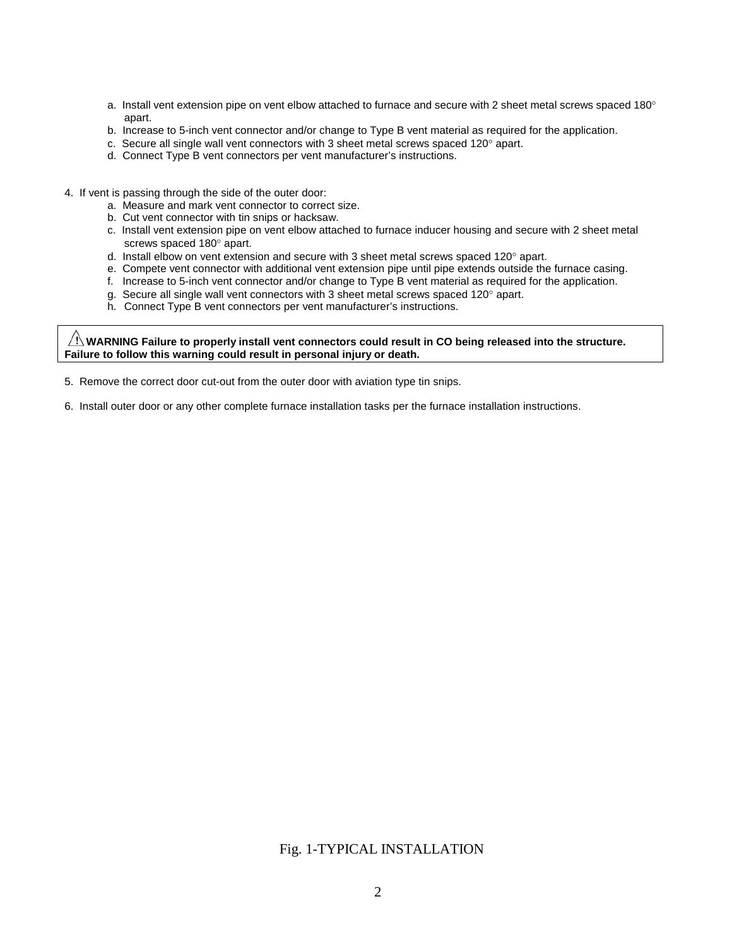- a. Install vent extension pipe on vent elbow attached to furnace and secure with 2 sheet metal screws spaced 180 $^{\circ}$ apart.
- b. Increase to 5-inch vent connector and/or change to Type B vent material as required for the application.
- c. Secure all single wall vent connectors with 3 sheet metal screws spaced  $120^\circ$  apart.
- d. Connect Type B vent connectors per vent manufacturer's instructions.
- 4. If vent is passing through the side of the outer door:
	- a. Measure and mark vent connector to correct size.
	- b. Cut vent connector with tin snips or hacksaw.
	- c. Install vent extension pipe on vent elbow attached to furnace inducer housing and secure with 2 sheet metal screws spaced 180° apart.
	- d. Install elbow on vent extension and secure with 3 sheet metal screws spaced  $120^\circ$  apart.
	- e. Compete vent connector with additional vent extension pipe until pipe extends outside the furnace casing.
	- f. Increase to 5-inch vent connector and/or change to Type B vent material as required for the application.
	- g. Secure all single wall vent connectors with 3 sheet metal screws spaced 120° apart.
	- h. Connect Type B vent connectors per vent manufacturer's instructions.

**WARNING Failure to properly install vent connectors could result in CO being released into the structure. Failure to follow this warning could result in personal injury or death.** 

- 5. Remove the correct door cut-out from the outer door with aviation type tin snips.
- 6. Install outer door or any other complete furnace installation tasks per the furnace installation instructions.

## Fig. 1-TYPICAL INSTALLATION